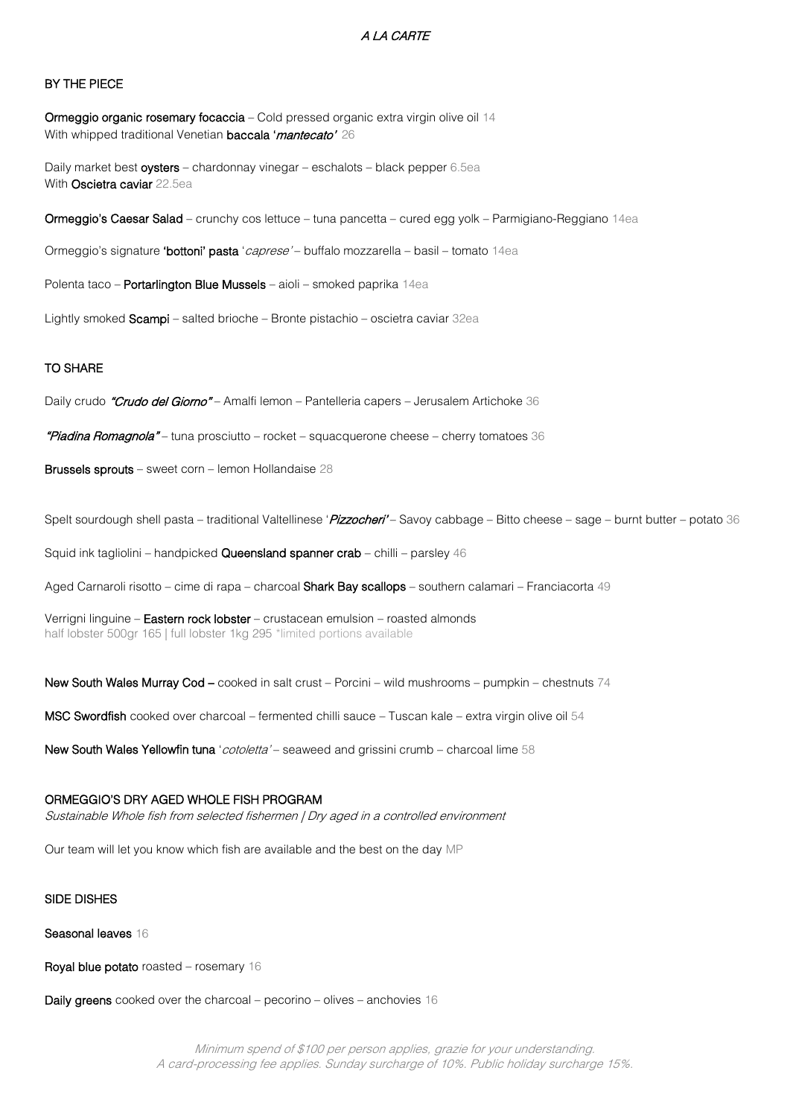# A LA CARTE

# BY THE PIECE

Ormeggio organic rosemary focaccia - Cold pressed organic extra virgin olive oil 14 With whipped traditional Venetian **baccala 'mantecato'** 26

Daily market best oysters - chardonnay vinegar - eschalots - black pepper 6.5ea With Oscietra caviar 22.5ea

Ormeggio's Caesar Salad – crunchy cos lettuce – tuna pancetta – cured egg yolk – Parmigiano-Reggiano 14ea

Ormeggio's signature 'bottoni' pasta 'caprese' - buffalo mozzarella - basil - tomato 14ea

Polenta taco - Portarlington Blue Mussels - aioli - smoked paprika 14ea

Lightly smoked Scampi – salted brioche – Bronte pistachio – oscietra caviar 32ea

### TO SHARE

Daily crudo "Crudo del Giorno" – Amalfi lemon – Pantelleria capers – Jerusalem Artichoke 36

"Piadina Romagnola" – tuna prosciutto – rocket – squacquerone cheese – cherry tomatoes 36

Brussels sprouts – sweet corn – lemon Hollandaise 28

Spelt sourdough shell pasta – traditional Valtellinese '*Pizzocheri'* – Savoy cabbage – Bitto cheese – sage – burnt butter – potato 36

Squid ink tagliolini – handpicked Queensland spanner crab – chilli – parsley 46

Aged Carnaroli risotto – cime di rapa – charcoal Shark Bay scallops – southern calamari – Franciacorta 49

Verrigni linguine – Eastern rock lobster – crustacean emulsion – roasted almonds half lobster 500gr 165 | full lobster 1kg 295 \*limited portions available

New South Wales Murray Cod – cooked in salt crust – Porcini – wild mushrooms – pumpkin – chestnuts 74

MSC Swordfish cooked over charcoal – fermented chilli sauce – Tuscan kale – extra virgin olive oil 54

New South Wales Yellowfin tuna 'cotoletta' – seaweed and grissini crumb – charcoal lime 58

#### ORMEGGIO'S DRY AGED WHOLE FISH PROGRAM

Sustainable Whole fish from selected fishermen | Dry aged in a controlled environment

Our team will let you know which fish are available and the best on the day MP

### SIDE DISHES

#### Seasonal leaves 16

Royal blue potato roasted – rosemary 16

**Daily greens** cooked over the charcoal – pecorino – olives – anchovies  $16$